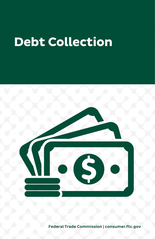# **Debt Collection**



Federal Trade Commission | consumer.[ftc.gov](http://consumer.ftc.gov)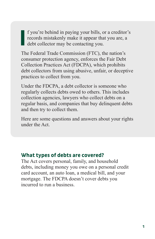**I** f you're behind in paying your bills, or a creditor's records mistakenly make it appear that you are, a debt collector may be contacting you.

The Federal Trade Commission (FTC), the nation's consumer protection agency, enforces the Fair Debt Collection Practices Act (FDCPA), which prohibits debt collectors from using abusive, unfair, or deceptive practices to collect from you.

Under the FDCPA, a debt collector is someone who regularly collects debts owed to others. This includes collection agencies, lawyers who collect debts on a regular basis, and companies that buy delinquent debts and then try to collect them.

Here are some questions and answers about your rights under the Act.

# **What types of debts are covered?**

The Act covers personal, family, and household debts, including money you owe on a personal credit card account, an auto loan, a medical bill, and your mortgage. The FDCPA doesn't cover debts you incurred to run a business.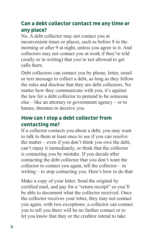# **Can a debt collector contact me any time or any place?**

No. A debt collector may not contact you at inconvenient times or places, such as before 8 in the morning or after 9 at night, unless you agree to it. And collectors may not contact you at work if they're told (orally or in writing) that you're not allowed to get calls there.

Debt collectors can contact you by phone, letter, email or text message to collect a debt, as long as they follow the rules and disclose that they are debt collectors. No matter how they communicate with you, it's against the law for a debt collector to pretend to be someone else – like an attorney or government agency – or to harass, threaten or deceive you.

# **How can I stop a debt collector from contacting me?**

If a collector contacts you about a debt, you may want to talk to them at least once to see if you can resolve the matter – even if you don't think you owe the debt, can't repay it immediately, or think that the collector is contacting you by mistake. If you decide after contacting the debt collector that you don't want the collector to contact you again, tell the collector – in writing – to stop contacting you. Here's how to do that:

Make a copy of your letter. Send the original by certified mail, and pay for a "return receipt" so you'll be able to document what the collector received. Once the collector receives your letter, they may not contact you again, with two exceptions: a collector can contact you to tell you there will be no further contact or to let you know that they or the creditor intend to take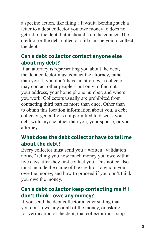a specific action, like filing a lawsuit. Sending such a letter to a debt collector you owe money to does not get rid of the debt, but it should stop the contact. The creditor or the debt collector still can sue you to collect the debt.

# **Can a debt collector contact anyone else about my debt?**

If an attorney is representing you about the debt, the debt collector must contact the attorney, rather than you. If you don't have an attorney, a collector may contact other people – but only to find out your address, your home phone number, and where you work. Collectors usually are prohibited from contacting third parties more than once. Other than to obtain this location information about you, a debt collector generally is not permitted to discuss your debt with anyone other than you, your spouse, or your attorney.

# **What does the debt collector have to tell me about the debt?**

Every collector must send you a written "validation notice" telling you how much money you owe within five days after they first contact you. This notice also must include the name of the creditor to whom you owe the money, and how to proceed if you don't think you owe the money.

# **Can a debt collector keep contacting me if I don't think I owe any money?**

If you send the debt collector a letter stating that you don't owe any or all of the money, or asking for verification of the debt, that collector must stop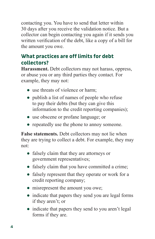contacting you. You have to send that letter within 30 days after you receive the validation notice. But a collector can begin contacting you again if it sends you written verification of the debt, like a copy of a bill for the amount you owe.

# **What practices are off limits for debt collectors?**

**Harassment.** Debt collectors may not harass, oppress, or abuse you or any third parties they contact. For example, they may not:

- use threats of violence or harm;
- publish a list of names of people who refuse to pay their debts (but they can give this information to the credit reporting companies);
- use obscene or profane language; or
- repeatedly use the phone to annoy someone.

**False statements.** Debt collectors may not lie when they are trying to collect a debt. For example, they may not:

- falsely claim that they are attorneys or government representatives;
- falsely claim that you have committed a crime;
- falsely represent that they operate or work for a credit reporting company;
- misrepresent the amount you owe;
- indicate that papers they send you are legal forms if they aren't; or
- indicate that papers they send to you aren't legal forms if they are.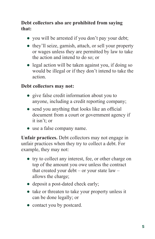#### **Debt collectors also are prohibited from saying that:**

- you will be arrested if you don't pay your debt;
- they'll seize, garnish, attach, or sell your property or wages unless they are permitted by law to take the action and intend to do so; or
- legal action will be taken against you, if doing so would be illegal or if they don't intend to take the action.

#### **Debt collectors may not:**

- give false credit information about you to anyone, including a credit reporting company;
- send you anything that looks like an official document from a court or government agency if it isn't; or
- use a false company name.

**Unfair practices.** Debt collectors may not engage in unfair practices when they try to collect a debt. For example, they may not:

- try to collect any interest, fee, or other charge on top of the amount you owe unless the contract that created your debt – or your state law – allows the charge;
- deposit a post-dated check early;
- take or threaten to take your property unless it can be done legally; or
- contact you by postcard.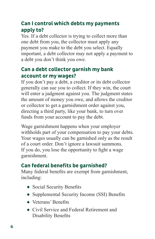# **Can I control which debts my payments apply to?**

Yes. If a debt collector is trying to collect more than one debt from you, the collector must apply any payment you make to the debt you select. Equally important, a debt collector may not apply a payment to a debt you don't think you owe.

# **Can a debt collector garnish my bank account or my wages?**

If you don't pay a debt, a creditor or its debt collector generally can sue you to collect. If they win, the court will enter a judgment against you. The judgment states the amount of money you owe, and allows the creditor or collector to get a garnishment order against you, directing a third party, like your bank, to turn over funds from your account to pay the debt.

Wage garnishment happens when your employer withholds part of your compensation to pay your debts. Your wages usually can be garnished only as the result of a court order. Don't ignore a lawsuit summons. If you do, you lose the opportunity to fight a wage garnishment.

# **Can federal benefits be garnished?**

Many federal benefits are exempt from garnishment, including:

- Social Security Benefits
- Supplemental Security Income (SSI) Benefits
- Veterans' Benefits
- Civil Service and Federal Retirement and Disability Benefits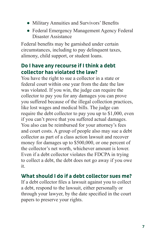- Military Annuities and Survivors' Benefits
- Federal Emergency Management Agency Federal Disaster Assistance

Federal benefits may be garnished under certain circumstances, including to pay delinquent taxes, alimony, child support, or student loans.

# **Do I have any recourse if I think a debt collector has violated the law?**

You have the right to sue a collector in a state or federal court within one year from the date the law was violated. If you win, the judge can require the collector to pay you for any damages you can prove you suffered because of the illegal collection practices, like lost wages and medical bills. The judge can require the debt collector to pay you up to \$1,000, even if you can't prove that you suffered actual damages. You also can be reimbursed for your attorney's fees and court costs. A group of people also may sue a debt collector as part of a class action lawsuit and recover money for damages up to \$500,000, or one percent of the collector's net worth, whichever amount is lower. Even if a debt collector violates the FDCPA in trying to collect a debt, the debt does not go away if you owe it.

# **What should I do if a debt collector sues me?**

If a debt collector files a lawsuit against you to collect a debt, respond to the lawsuit, either personally or through your lawyer, by the date specified in the court papers to preserve your rights.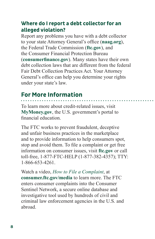# **Where do I report a debt collector for an alleged violation?**

Report any problems you have with a debt collector to your state Attorney General's office (**[naag.org](http://naag.org)**), the Federal Trade Commission (**[ftc.gov](http://ftc.gov)**), and the Consumer Financial Protection Bureau (**[consumerfinance.gov](http://consumerfinance.gov)**). Many states have their own debt collection laws that are different from the federal Fair Debt Collection Practices Act. Your Attorney General's office can help you determine your rights under your state's law.

# **For More Information**

To learn more about credit-related issues, visit **[MyMoney.gov](http://mymoney.gov)**, the U.S. government's portal to financial education.

The FTC works to prevent fraudulent, deceptive and unfair business practices in the marketplace and to provide information to help consumers spot, stop and avoid them. To file a complaint or get free information on consumer issues, visit **[ftc.gov](http://ftc.gov)** or call toll-free, 1-877-FTC-HELP (1-877-382-4357); TTY: 1-866-653-4261.

Watch a video, *How to File a Complaint*, at **[consumer.ftc.gov/media](http://consumer.ftc.gov/media)** to learn more. The FTC enters consumer complaints into the Consumer Sentinel Network, a secure online database and investigative tool used by hundreds of civil and criminal law enforcement agencies in the U.S. and abroad.